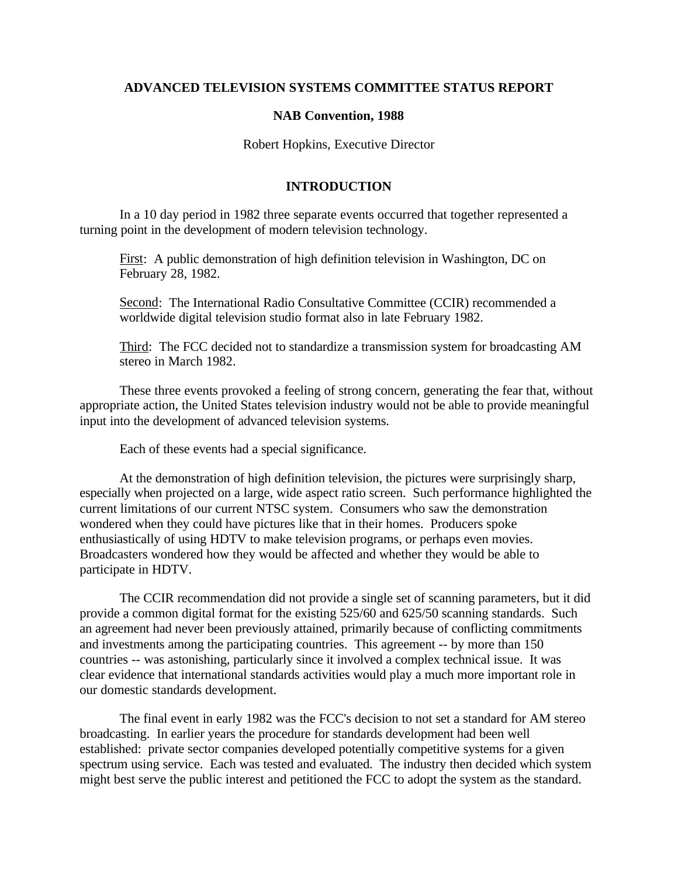## **ADVANCED TELEVISION SYSTEMS COMMITTEE STATUS REPORT**

## **NAB Convention, 1988**

Robert Hopkins, Executive Director

## **INTRODUCTION**

In a 10 day period in 1982 three separate events occurred that together represented a turning point in the development of modern television technology.

First: A public demonstration of high definition television in Washington, DC on February 28, 1982.

Second: The International Radio Consultative Committee (CCIR) recommended a worldwide digital television studio format also in late February 1982.

Third: The FCC decided not to standardize a transmission system for broadcasting AM stereo in March 1982.

These three events provoked a feeling of strong concern, generating the fear that, without appropriate action, the United States television industry would not be able to provide meaningful input into the development of advanced television systems.

Each of these events had a special significance.

At the demonstration of high definition television, the pictures were surprisingly sharp, especially when projected on a large, wide aspect ratio screen. Such performance highlighted the current limitations of our current NTSC system. Consumers who saw the demonstration wondered when they could have pictures like that in their homes. Producers spoke enthusiastically of using HDTV to make television programs, or perhaps even movies. Broadcasters wondered how they would be affected and whether they would be able to participate in HDTV.

The CCIR recommendation did not provide a single set of scanning parameters, but it did provide a common digital format for the existing 525/60 and 625/50 scanning standards. Such an agreement had never been previously attained, primarily because of conflicting commitments and investments among the participating countries. This agreement -- by more than 150 countries -- was astonishing, particularly since it involved a complex technical issue. It was clear evidence that international standards activities would play a much more important role in our domestic standards development.

The final event in early 1982 was the FCC's decision to not set a standard for AM stereo broadcasting. In earlier years the procedure for standards development had been well established: private sector companies developed potentially competitive systems for a given spectrum using service. Each was tested and evaluated. The industry then decided which system might best serve the public interest and petitioned the FCC to adopt the system as the standard.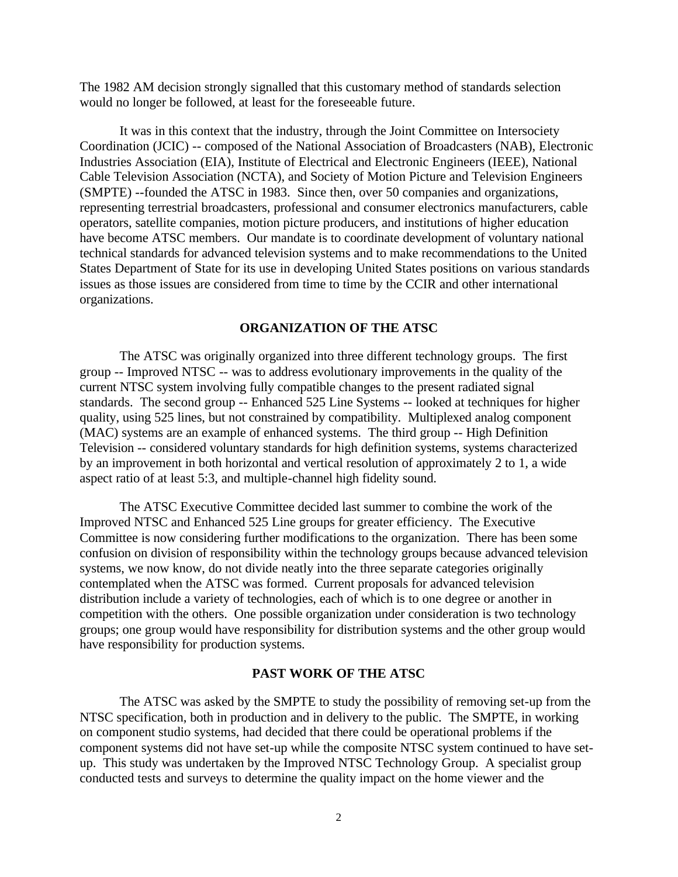The 1982 AM decision strongly signalled that this customary method of standards selection would no longer be followed, at least for the foreseeable future.

It was in this context that the industry, through the Joint Committee on Intersociety Coordination (JCIC) -- composed of the National Association of Broadcasters (NAB), Electronic Industries Association (EIA), Institute of Electrical and Electronic Engineers (IEEE), National Cable Television Association (NCTA), and Society of Motion Picture and Television Engineers (SMPTE) --founded the ATSC in 1983. Since then, over 50 companies and organizations, representing terrestrial broadcasters, professional and consumer electronics manufacturers, cable operators, satellite companies, motion picture producers, and institutions of higher education have become ATSC members. Our mandate is to coordinate development of voluntary national technical standards for advanced television systems and to make recommendations to the United States Department of State for its use in developing United States positions on various standards issues as those issues are considered from time to time by the CCIR and other international organizations.

### **ORGANIZATION OF THE ATSC**

The ATSC was originally organized into three different technology groups. The first group -- Improved NTSC -- was to address evolutionary improvements in the quality of the current NTSC system involving fully compatible changes to the present radiated signal standards. The second group -- Enhanced 525 Line Systems -- looked at techniques for higher quality, using 525 lines, but not constrained by compatibility. Multiplexed analog component (MAC) systems are an example of enhanced systems. The third group -- High Definition Television -- considered voluntary standards for high definition systems, systems characterized by an improvement in both horizontal and vertical resolution of approximately 2 to 1, a wide aspect ratio of at least 5:3, and multiple-channel high fidelity sound.

The ATSC Executive Committee decided last summer to combine the work of the Improved NTSC and Enhanced 525 Line groups for greater efficiency. The Executive Committee is now considering further modifications to the organization. There has been some confusion on division of responsibility within the technology groups because advanced television systems, we now know, do not divide neatly into the three separate categories originally contemplated when the ATSC was formed. Current proposals for advanced television distribution include a variety of technologies, each of which is to one degree or another in competition with the others. One possible organization under consideration is two technology groups; one group would have responsibility for distribution systems and the other group would have responsibility for production systems.

#### **PAST WORK OF THE ATSC**

The ATSC was asked by the SMPTE to study the possibility of removing set-up from the NTSC specification, both in production and in delivery to the public. The SMPTE, in working on component studio systems, had decided that there could be operational problems if the component systems did not have set-up while the composite NTSC system continued to have setup. This study was undertaken by the Improved NTSC Technology Group. A specialist group conducted tests and surveys to determine the quality impact on the home viewer and the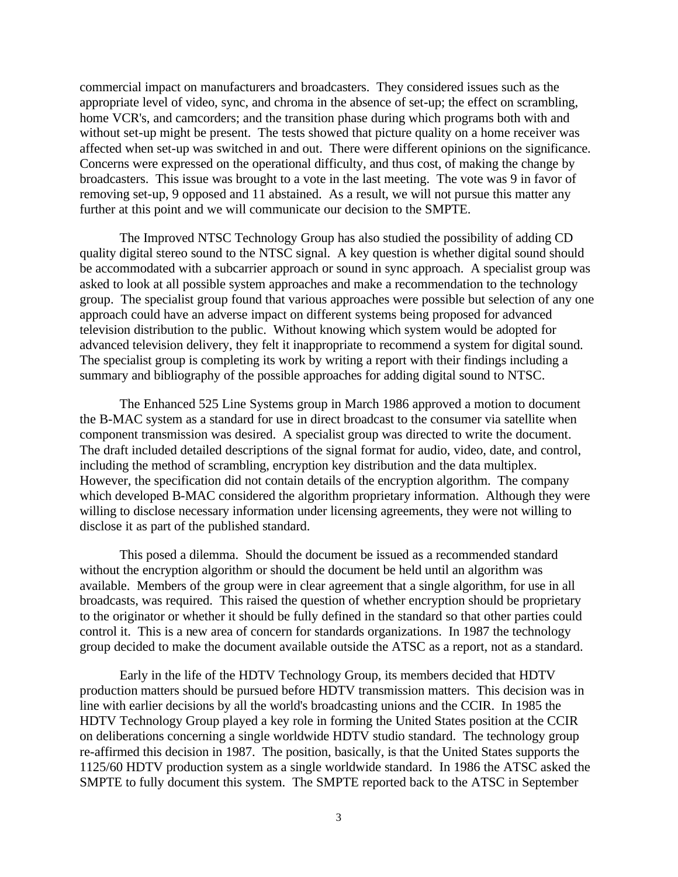commercial impact on manufacturers and broadcasters. They considered issues such as the appropriate level of video, sync, and chroma in the absence of set-up; the effect on scrambling, home VCR's, and camcorders; and the transition phase during which programs both with and without set-up might be present. The tests showed that picture quality on a home receiver was affected when set-up was switched in and out. There were different opinions on the significance. Concerns were expressed on the operational difficulty, and thus cost, of making the change by broadcasters. This issue was brought to a vote in the last meeting. The vote was 9 in favor of removing set-up, 9 opposed and 11 abstained. As a result, we will not pursue this matter any further at this point and we will communicate our decision to the SMPTE.

The Improved NTSC Technology Group has also studied the possibility of adding CD quality digital stereo sound to the NTSC signal. A key question is whether digital sound should be accommodated with a subcarrier approach or sound in sync approach. A specialist group was asked to look at all possible system approaches and make a recommendation to the technology group. The specialist group found that various approaches were possible but selection of any one approach could have an adverse impact on different systems being proposed for advanced television distribution to the public. Without knowing which system would be adopted for advanced television delivery, they felt it inappropriate to recommend a system for digital sound. The specialist group is completing its work by writing a report with their findings including a summary and bibliography of the possible approaches for adding digital sound to NTSC.

The Enhanced 525 Line Systems group in March 1986 approved a motion to document the B-MAC system as a standard for use in direct broadcast to the consumer via satellite when component transmission was desired. A specialist group was directed to write the document. The draft included detailed descriptions of the signal format for audio, video, date, and control, including the method of scrambling, encryption key distribution and the data multiplex. However, the specification did not contain details of the encryption algorithm. The company which developed B-MAC considered the algorithm proprietary information. Although they were willing to disclose necessary information under licensing agreements, they were not willing to disclose it as part of the published standard.

This posed a dilemma. Should the document be issued as a recommended standard without the encryption algorithm or should the document be held until an algorithm was available. Members of the group were in clear agreement that a single algorithm, for use in all broadcasts, was required. This raised the question of whether encryption should be proprietary to the originator or whether it should be fully defined in the standard so that other parties could control it. This is a new area of concern for standards organizations. In 1987 the technology group decided to make the document available outside the ATSC as a report, not as a standard.

Early in the life of the HDTV Technology Group, its members decided that HDTV production matters should be pursued before HDTV transmission matters. This decision was in line with earlier decisions by all the world's broadcasting unions and the CCIR. In 1985 the HDTV Technology Group played a key role in forming the United States position at the CCIR on deliberations concerning a single worldwide HDTV studio standard. The technology group re-affirmed this decision in 1987. The position, basically, is that the United States supports the 1125/60 HDTV production system as a single worldwide standard. In 1986 the ATSC asked the SMPTE to fully document this system. The SMPTE reported back to the ATSC in September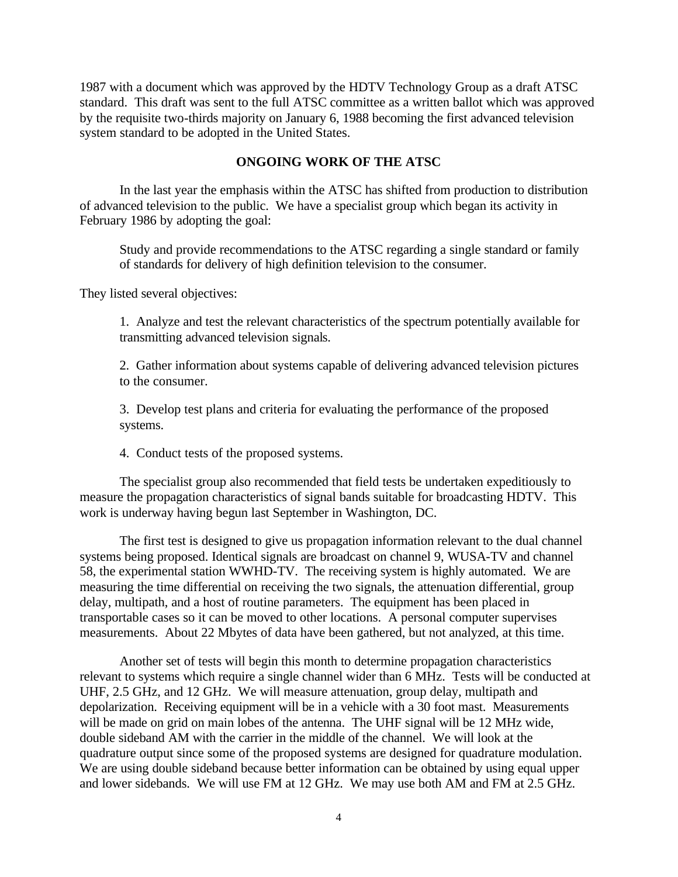1987 with a document which was approved by the HDTV Technology Group as a draft ATSC standard. This draft was sent to the full ATSC committee as a written ballot which was approved by the requisite two-thirds majority on January 6, 1988 becoming the first advanced television system standard to be adopted in the United States.

# **ONGOING WORK OF THE ATSC**

In the last year the emphasis within the ATSC has shifted from production to distribution of advanced television to the public. We have a specialist group which began its activity in February 1986 by adopting the goal:

Study and provide recommendations to the ATSC regarding a single standard or family of standards for delivery of high definition television to the consumer.

They listed several objectives:

1. Analyze and test the relevant characteristics of the spectrum potentially available for transmitting advanced television signals.

2. Gather information about systems capable of delivering advanced television pictures to the consumer.

3. Develop test plans and criteria for evaluating the performance of the proposed systems.

4. Conduct tests of the proposed systems.

The specialist group also recommended that field tests be undertaken expeditiously to measure the propagation characteristics of signal bands suitable for broadcasting HDTV. This work is underway having begun last September in Washington, DC.

The first test is designed to give us propagation information relevant to the dual channel systems being proposed. Identical signals are broadcast on channel 9, WUSA-TV and channel 58, the experimental station WWHD-TV. The receiving system is highly automated. We are measuring the time differential on receiving the two signals, the attenuation differential, group delay, multipath, and a host of routine parameters. The equipment has been placed in transportable cases so it can be moved to other locations. A personal computer supervises measurements. About 22 Mbytes of data have been gathered, but not analyzed, at this time.

Another set of tests will begin this month to determine propagation characteristics relevant to systems which require a single channel wider than 6 MHz. Tests will be conducted at UHF, 2.5 GHz, and 12 GHz. We will measure attenuation, group delay, multipath and depolarization. Receiving equipment will be in a vehicle with a 30 foot mast. Measurements will be made on grid on main lobes of the antenna. The UHF signal will be 12 MHz wide, double sideband AM with the carrier in the middle of the channel. We will look at the quadrature output since some of the proposed systems are designed for quadrature modulation. We are using double sideband because better information can be obtained by using equal upper and lower sidebands. We will use FM at 12 GHz. We may use both AM and FM at 2.5 GHz.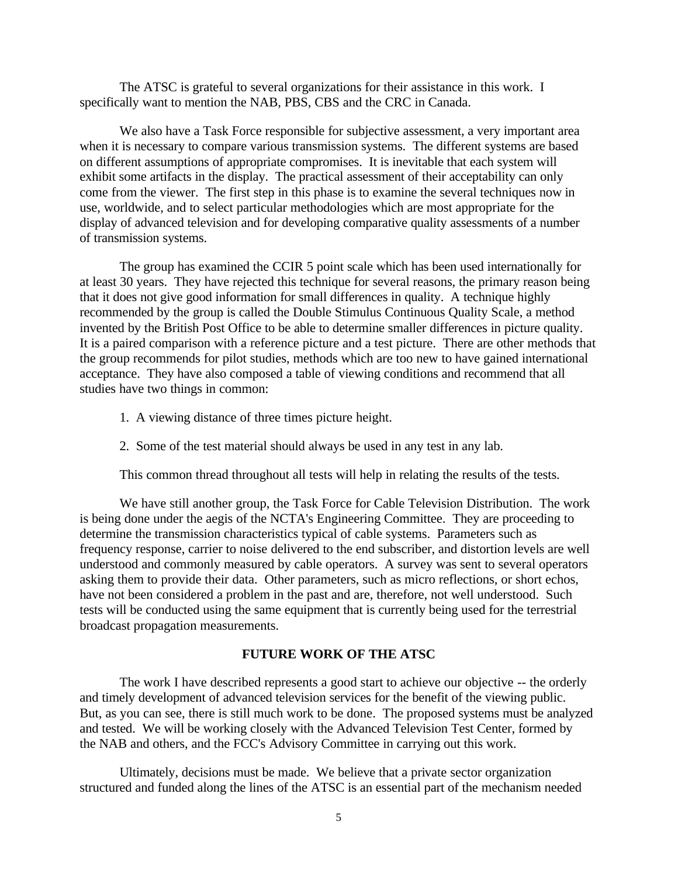The ATSC is grateful to several organizations for their assistance in this work. I specifically want to mention the NAB, PBS, CBS and the CRC in Canada.

We also have a Task Force responsible for subjective assessment, a very important area when it is necessary to compare various transmission systems. The different systems are based on different assumptions of appropriate compromises. It is inevitable that each system will exhibit some artifacts in the display. The practical assessment of their acceptability can only come from the viewer. The first step in this phase is to examine the several techniques now in use, worldwide, and to select particular methodologies which are most appropriate for the display of advanced television and for developing comparative quality assessments of a number of transmission systems.

The group has examined the CCIR 5 point scale which has been used internationally for at least 30 years. They have rejected this technique for several reasons, the primary reason being that it does not give good information for small differences in quality. A technique highly recommended by the group is called the Double Stimulus Continuous Quality Scale, a method invented by the British Post Office to be able to determine smaller differences in picture quality. It is a paired comparison with a reference picture and a test picture. There are other methods that the group recommends for pilot studies, methods which are too new to have gained international acceptance. They have also composed a table of viewing conditions and recommend that all studies have two things in common:

- 1. A viewing distance of three times picture height.
- 2. Some of the test material should always be used in any test in any lab.

This common thread throughout all tests will help in relating the results of the tests.

We have still another group, the Task Force for Cable Television Distribution. The work is being done under the aegis of the NCTA's Engineering Committee. They are proceeding to determine the transmission characteristics typical of cable systems. Parameters such as frequency response, carrier to noise delivered to the end subscriber, and distortion levels are well understood and commonly measured by cable operators. A survey was sent to several operators asking them to provide their data. Other parameters, such as micro reflections, or short echos, have not been considered a problem in the past and are, therefore, not well understood. Such tests will be conducted using the same equipment that is currently being used for the terrestrial broadcast propagation measurements.

## **FUTURE WORK OF THE ATSC**

The work I have described represents a good start to achieve our objective -- the orderly and timely development of advanced television services for the benefit of the viewing public. But, as you can see, there is still much work to be done. The proposed systems must be analyzed and tested. We will be working closely with the Advanced Television Test Center, formed by the NAB and others, and the FCC's Advisory Committee in carrying out this work.

Ultimately, decisions must be made. We believe that a private sector organization structured and funded along the lines of the ATSC is an essential part of the mechanism needed